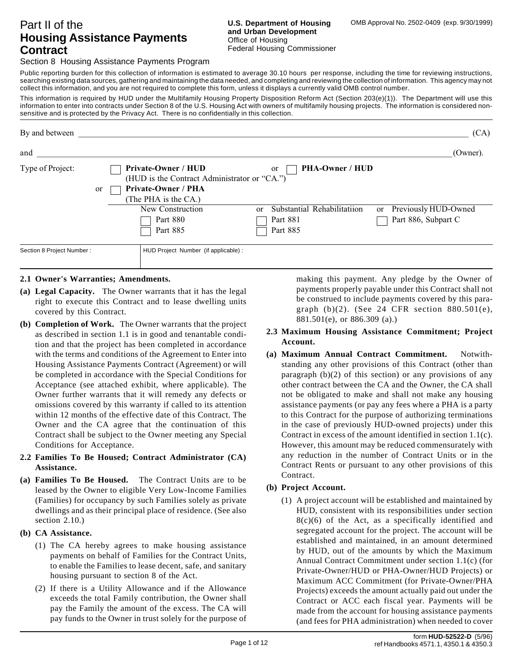# Part II of the **Housing Assistance Payments Contract**

Section 8 Housing Assistance Payments Program

Public reporting burden for this collection of information is estimated to average 30.10 hours per response, including the time for reviewing instructions, searching existing data sources, gathering and maintaining the data needed, and completing and reviewing the collection of information. This agency may not collect this information, and you are not required to complete this form, unless it displays a currently valid OMB control number.

This information is required by HUD under the Multifamily Housing Property Disposition Reform Act (Section 203(e)(1)). The Department will use this information to enter into contracts under Section 8 of the U.S. Housing Act with owners of multifamily housing projects. The information is considered nonsensitive and is protected by the Privacy Act. There is no confidentially in this collection.

| By and between            |                                                                                                                                 |                                                                 | (CA)                                                         |
|---------------------------|---------------------------------------------------------------------------------------------------------------------------------|-----------------------------------------------------------------|--------------------------------------------------------------|
| and                       |                                                                                                                                 |                                                                 | (Owner).                                                     |
| Type of Project:          | Private-Owner / HUD<br>(HUD is the Contract Administrator or "CA.")<br><b>Private-Owner / PHA</b><br>or<br>(The PHA is the CA.) | <b>PHA-Owner / HUD</b><br><sub>or</sub>                         |                                                              |
|                           | New Construction<br>Part 880<br>Part 885                                                                                        | Substantial Rehabilitatiion<br>$\alpha$<br>Part 881<br>Part 885 | Previously HUD-Owned<br><sub>or</sub><br>Part 886, Subpart C |
| Section 8 Project Number: | HUD Project Number (if applicable) :                                                                                            |                                                                 |                                                              |

#### **2.1 Owner's Warranties; Amendments.**

- **(a) Legal Capacity.** The Owner warrants that it has the legal right to execute this Contract and to lease dwelling units covered by this Contract.
- **(b) Completion of Work.** The Owner warrants that the project as described in section 1.1 is in good and tenantable condition and that the project has been completed in accordance with the terms and conditions of the Agreement to Enter into Housing Assistance Payments Contract (Agreement) or will be completed in accordance with the Special Conditions for Acceptance (see attached exhibit, where applicable). The Owner further warrants that it will remedy any defects or omissions covered by this warranty if called to its attention within 12 months of the effective date of this Contract. The Owner and the CA agree that the continuation of this Contract shall be subject to the Owner meeting any Special Conditions for Acceptance.
- **2.2 Families To Be Housed; Contract Administrator (CA) Assistance.**
- **(a) Families To Be Housed.** The Contract Units are to be leased by the Owner to eligible Very Low-Income Families (Families) for occupancy by such Families solely as private dwellings and as their principal place of residence. (See also section 2.10.)
- **(b) CA Assistance.**
	- (1) The CA hereby agrees to make housing assistance payments on behalf of Families for the Contract Units, to enable the Families to lease decent, safe, and sanitary housing pursuant to section 8 of the Act.
	- (2) If there is a Utility Allowance and if the Allowance exceeds the total Family contribution, the Owner shall pay the Family the amount of the excess. The CA will pay funds to the Owner in trust solely for the purpose of

making this payment. Any pledge by the Owner of payments properly payable under this Contract shall not be construed to include payments covered by this paragraph (b)(2). (See 24 CFR section 880.501(e), 881.501(e), or 886.309 (a).)

#### **2.3 Maximum Housing Assistance Commitment; Project Account.**

**(a) Maximum Annual Contract Commitment.** Notwithstanding any other provisions of this Contract (other than paragraph  $(b)(2)$  of this section) or any provisions of any other contract between the CA and the Owner, the CA shall not be obligated to make and shall not make any housing assistance payments (or pay any fees where a PHA is a party to this Contract for the purpose of authorizing terminations in the case of previously HUD-owned projects) under this Contract in excess of the amount identified in section 1.1(c). However, this amount may be reduced commensurately with any reduction in the number of Contract Units or in the Contract Rents or pursuant to any other provisions of this Contract.

# **(b) Project Account.**

(1) A project account will be established and maintained by HUD, consistent with its responsibilities under section 8(c)(6) of the Act, as a specifically identified and segregated account for the project. The account will be established and maintained, in an amount determined by HUD, out of the amounts by which the Maximum Annual Contract Commitment under section 1.1(c) (for Private-Owner/HUD or PHA-Owner/HUD Projects) or Maximum ACC Commitment (for Private-Owner/PHA Projects) exceeds the amount actually paid out under the Contract or ACC each fiscal year. Payments will be made from the account for housing assistance payments (and fees for PHA administration) when needed to cover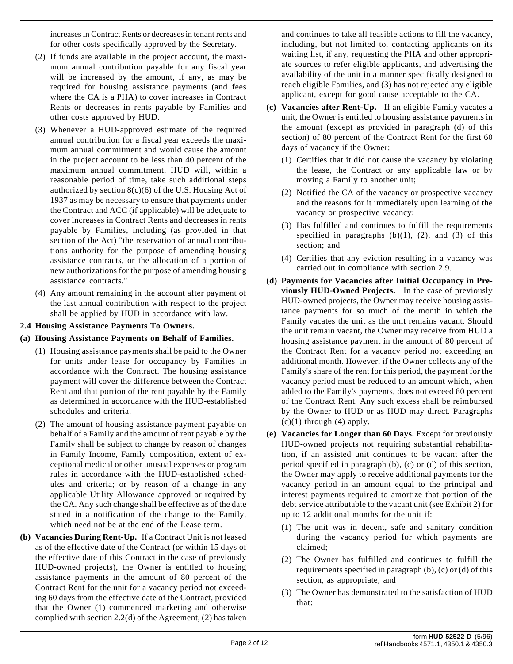increases in Contract Rents or decreases in tenant rents and for other costs specifically approved by the Secretary.

- (2) If funds are available in the project account, the maximum annual contribution payable for any fiscal year will be increased by the amount, if any, as may be required for housing assistance payments (and fees where the CA is a PHA) to cover increases in Contract Rents or decreases in rents payable by Families and other costs approved by HUD.
- (3) Whenever a HUD-approved estimate of the required annual contribution for a fiscal year exceeds the maximum annual commitment and would cause the amount in the project account to be less than 40 percent of the maximum annual commitment, HUD will, within a reasonable period of time, take such additional steps authorized by section 8(c)(6) of the U.S. Housing Act of 1937 as may be necessary to ensure that payments under the Contract and ACC (if applicable) will be adequate to cover increases in Contract Rents and decreases in rents payable by Families, including (as provided in that section of the Act) "the reservation of annual contributions authority for the purpose of amending housing assistance contracts, or the allocation of a portion of new authorizations for the purpose of amending housing assistance contracts."
- (4) Any amount remaining in the account after payment of the last annual contribution with respect to the project shall be applied by HUD in accordance with law.

### **2.4 Housing Assistance Payments To Owners.**

### **(a) Housing Assistance Payments on Behalf of Families.**

- (1) Housing assistance payments shall be paid to the Owner for units under lease for occupancy by Families in accordance with the Contract. The housing assistance payment will cover the difference between the Contract Rent and that portion of the rent payable by the Family as determined in accordance with the HUD-established schedules and criteria.
- (2) The amount of housing assistance payment payable on behalf of a Family and the amount of rent payable by the Family shall be subject to change by reason of changes in Family Income, Family composition, extent of exceptional medical or other unusual expenses or program rules in accordance with the HUD-established schedules and criteria; or by reason of a change in any applicable Utility Allowance approved or required by the CA. Any such change shall be effective as of the date stated in a notification of the change to the Family, which need not be at the end of the Lease term.
- **(b) Vacancies During Rent-Up.** If a Contract Unit is not leased as of the effective date of the Contract (or within 15 days of the effective date of this Contract in the case of previously HUD-owned projects), the Owner is entitled to housing assistance payments in the amount of 80 percent of the Contract Rent for the unit for a vacancy period not exceeding 60 days from the effective date of the Contract, provided that the Owner (1) commenced marketing and otherwise complied with section 2.2(d) of the Agreement, (2) has taken

and continues to take all feasible actions to fill the vacancy, including, but not limited to, contacting applicants on its waiting list, if any, requesting the PHA and other appropriate sources to refer eligible applicants, and advertising the availability of the unit in a manner specifically designed to reach eligible Families, and (3) has not rejected any eligible applicant, except for good cause acceptable to the CA.

- **(c) Vacancies after Rent-Up.** If an eligible Family vacates a unit, the Owner is entitled to housing assistance payments in the amount (except as provided in paragraph (d) of this section) of 80 percent of the Contract Rent for the first 60 days of vacancy if the Owner:
	- (1) Certifies that it did not cause the vacancy by violating the lease, the Contract or any applicable law or by moving a Family to another unit;
	- (2) Notified the CA of the vacancy or prospective vacancy and the reasons for it immediately upon learning of the vacancy or prospective vacancy;
	- (3) Has fulfilled and continues to fulfill the requirements specified in paragraphs  $(b)(1)$ ,  $(2)$ , and  $(3)$  of this section; and
	- (4) Certifies that any eviction resulting in a vacancy was carried out in compliance with section 2.9.
- **(d) Payments for Vacancies after Initial Occupancy in Previously HUD-Owned Projects.** In the case of previously HUD-owned projects, the Owner may receive housing assistance payments for so much of the month in which the Family vacates the unit as the unit remains vacant. Should the unit remain vacant, the Owner may receive from HUD a housing assistance payment in the amount of 80 percent of the Contract Rent for a vacancy period not exceeding an additional month. However, if the Owner collects any of the Family's share of the rent for this period, the payment for the vacancy period must be reduced to an amount which, when added to the Family's payments, does not exceed 80 percent of the Contract Rent. Any such excess shall be reimbursed by the Owner to HUD or as HUD may direct. Paragraphs  $(c)(1)$  through  $(4)$  apply.
- **(e) Vacancies for Longer than 60 Days.** Except for previously HUD-owned projects not requiring substantial rehabilitation, if an assisted unit continues to be vacant after the period specified in paragraph (b), (c) or (d) of this section, the Owner may apply to receive additional payments for the vacancy period in an amount equal to the principal and interest payments required to amortize that portion of the debt service attributable to the vacant unit (see Exhibit 2) for up to 12 additional months for the unit if:
	- (1) The unit was in decent, safe and sanitary condition during the vacancy period for which payments are claimed;
	- (2) The Owner has fulfilled and continues to fulfill the requirements specified in paragraph (b), (c) or (d) of this section, as appropriate; and
	- (3) The Owner has demonstrated to the satisfaction of HUD that: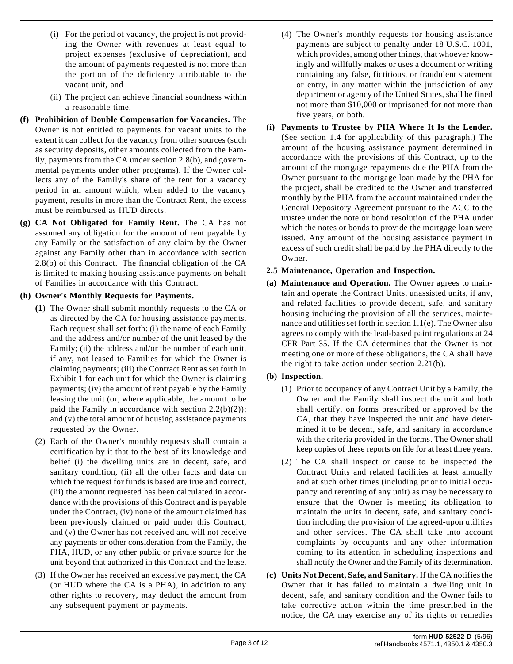- (i) For the period of vacancy, the project is not providing the Owner with revenues at least equal to project expenses (exclusive of depreciation), and the amount of payments requested is not more than the portion of the deficiency attributable to the vacant unit, and
- (ii) The project can achieve financial soundness within a reasonable time.
- **(f) Prohibition of Double Compensation for Vacancies.** The Owner is not entitled to payments for vacant units to the extent it can collect for the vacancy from other sources (such as security deposits, other amounts collected from the Family, payments from the CA under section 2.8(b), and governmental payments under other programs). If the Owner collects any of the Family's share of the rent for a vacancy period in an amount which, when added to the vacancy payment, results in more than the Contract Rent, the excess must be reimbursed as HUD directs.
- **(g) CA Not Obligated for Family Rent.** The CA has not assumed any obligation for the amount of rent payable by any Family or the satisfaction of any claim by the Owner against any Family other than in accordance with section 2.8(b) of this Contract. The financial obligation of the CA is limited to making housing assistance payments on behalf of Families in accordance with this Contract.

#### **(h) Owner's Monthly Requests for Payments.**

- **(1**) The Owner shall submit monthly requests to the CA or as directed by the CA for housing assistance payments. Each request shall set forth: (i) the name of each Family and the address and/or number of the unit leased by the Family; (ii) the address and/or the number of each unit, if any, not leased to Families for which the Owner is claiming payments; (iii) the Contract Rent as set forth in Exhibit 1 for each unit for which the Owner is claiming payments; (iv) the amount of rent payable by the Family leasing the unit (or, where applicable, the amount to be paid the Family in accordance with section  $2.2(b)(2)$ ; and (v) the total amount of housing assistance payments requested by the Owner.
- (2) Each of the Owner's monthly requests shall contain a certification by it that to the best of its knowledge and belief (i) the dwelling units are in decent, safe, and sanitary condition, (ii) all the other facts and data on which the request for funds is based are true and correct, (iii) the amount requested has been calculated in accordance with the provisions of this Contract and is payable under the Contract, (iv) none of the amount claimed has been previously claimed or paid under this Contract, and (v) the Owner has not received and will not receive any payments or other consideration from the Family, the PHA, HUD, or any other public or private source for the unit beyond that authorized in this Contract and the lease.
- (3) If the Owner has received an excessive payment, the CA (or HUD where the CA is a PHA), in addition to any other rights to recovery, may deduct the amount from any subsequent payment or payments.
- (4) The Owner's monthly requests for housing assistance payments are subject to penalty under 18 U.S.C. 1001, which provides, among other things, that whoever knowingly and willfully makes or uses a document or writing containing any false, fictitious, or fraudulent statement or entry, in any matter within the jurisdiction of any department or agency of the United States, shall be fined not more than \$10,000 or imprisoned for not more than five years, or both.
- **(i) Payments to Trustee by PHA Where It Is the Lender.** (See section 1.4 for applicability of this paragraph.) The amount of the housing assistance payment determined in accordance with the provisions of this Contract, up to the amount of the mortgage repayments due the PHA from the Owner pursuant to the mortgage loan made by the PHA for the project, shall be credited to the Owner and transferred monthly by the PHA from the account maintained under the General Depository Agreement pursuant to the ACC to the trustee under the note or bond resolution of the PHA under which the notes or bonds to provide the mortgage loan were issued. Any amount of the housing assistance payment in excess of such credit shall be paid by the PHA directly to the Owner.

#### **2.5 Maintenance, Operation and Inspection.**

**(a) Maintenance and Operation.** The Owner agrees to maintain and operate the Contract Units, unassisted units, if any, and related facilities to provide decent, safe, and sanitary housing including the provision of all the services, maintenance and utilities set forth in section 1.1(e). The Owner also agrees to comply with the lead-based paint regulations at 24 CFR Part 35. If the CA determines that the Owner is not meeting one or more of these obligations, the CA shall have the right to take action under section 2.21(b).

### **(b) Inspection.**

- (1) Prior to occupancy of any Contract Unit by a Family, the Owner and the Family shall inspect the unit and both shall certify, on forms prescribed or approved by the CA, that they have inspected the unit and have determined it to be decent, safe, and sanitary in accordance with the criteria provided in the forms. The Owner shall keep copies of these reports on file for at least three years.
- (2) The CA shall inspect or cause to be inspected the Contract Units and related facilities at least annually and at such other times (including prior to initial occupancy and rerenting of any unit) as may be necessary to ensure that the Owner is meeting its obligation to maintain the units in decent, safe, and sanitary condition including the provision of the agreed-upon utilities and other services. The CA shall take into account complaints by occupants and any other information coming to its attention in scheduling inspections and shall notify the Owner and the Family of its determination.
- **(c) Units Not Decent, Safe, and Sanitary.** If the CA notifies the Owner that it has failed to maintain a dwelling unit in decent, safe, and sanitary condition and the Owner fails to take corrective action within the time prescribed in the notice, the CA may exercise any of its rights or remedies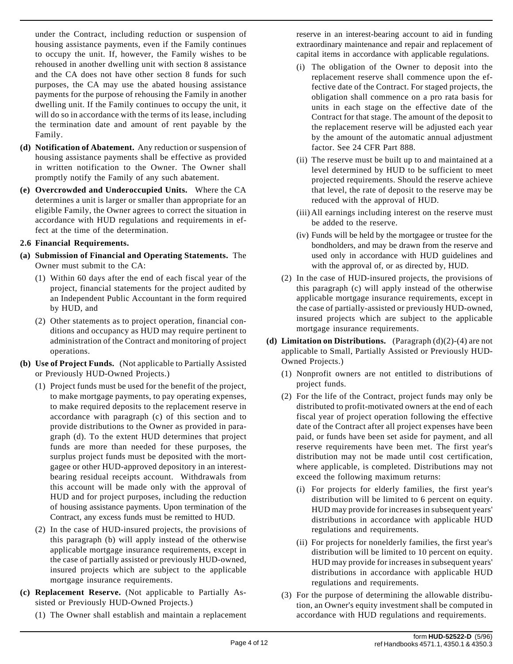under the Contract, including reduction or suspension of housing assistance payments, even if the Family continues to occupy the unit. If, however, the Family wishes to be rehoused in another dwelling unit with section 8 assistance and the CA does not have other section 8 funds for such purposes, the CA may use the abated housing assistance payments for the purpose of rehousing the Family in another dwelling unit. If the Family continues to occupy the unit, it will do so in accordance with the terms of its lease, including the termination date and amount of rent payable by the Family.

- **(d) Notification of Abatement.** Any reduction or suspension of housing assistance payments shall be effective as provided in written notification to the Owner. The Owner shall promptly notify the Family of any such abatement.
- **(e) Overcrowded and Underoccupied Units.** Where the CA determines a unit is larger or smaller than appropriate for an eligible Family, the Owner agrees to correct the situation in accordance with HUD regulations and requirements in effect at the time of the determination.

### **2.6 Financial Requirements.**

- **(a) Submission of Financial and Operating Statements.** The Owner must submit to the CA:
	- (1) Within 60 days after the end of each fiscal year of the project, financial statements for the project audited by an Independent Public Accountant in the form required by HUD, and
	- (2) Other statements as to project operation, financial conditions and occupancy as HUD may require pertinent to administration of the Contract and monitoring of project operations.
- **(b) Use of Project Funds.** (Not applicable to Partially Assisted or Previously HUD-Owned Projects.)
	- (1) Project funds must be used for the benefit of the project, to make mortgage payments, to pay operating expenses, to make required deposits to the replacement reserve in accordance with paragraph (c) of this section and to provide distributions to the Owner as provided in paragraph (d). To the extent HUD determines that project funds are more than needed for these purposes, the surplus project funds must be deposited with the mortgagee or other HUD-approved depository in an interestbearing residual receipts account. Withdrawals from this account will be made only with the approval of HUD and for project purposes, including the reduction of housing assistance payments. Upon termination of the Contract, any excess funds must be remitted to HUD.
	- (2) In the case of HUD-insured projects, the provisions of this paragraph (b) will apply instead of the otherwise applicable mortgage insurance requirements, except in the case of partially assisted or previously HUD-owned, insured projects which are subject to the applicable mortgage insurance requirements.
- **(c) Replacement Reserve.** (Not applicable to Partially Assisted or Previously HUD-Owned Projects.)
	- (1) The Owner shall establish and maintain a replacement

reserve in an interest-bearing account to aid in funding extraordinary maintenance and repair and replacement of capital items in accordance with applicable regulations.

- (i) The obligation of the Owner to deposit into the replacement reserve shall commence upon the effective date of the Contract. For staged projects, the obligation shall commence on a pro rata basis for units in each stage on the effective date of the Contract for that stage. The amount of the deposit to the replacement reserve will be adjusted each year by the amount of the automatic annual adjustment factor. See 24 CFR Part 888.
- (ii) The reserve must be built up to and maintained at a level determined by HUD to be sufficient to meet projected requirements. Should the reserve achieve that level, the rate of deposit to the reserve may be reduced with the approval of HUD.
- (iii) All earnings including interest on the reserve must be added to the reserve.
- (iv) Funds will be held by the mortgagee or trustee for the bondholders, and may be drawn from the reserve and used only in accordance with HUD guidelines and with the approval of, or as directed by, HUD.
- (2) In the case of HUD-insured projects, the provisions of this paragraph (c) will apply instead of the otherwise applicable mortgage insurance requirements, except in the case of partially-assisted or previously HUD-owned, insured projects which are subject to the applicable mortgage insurance requirements.
- **(d) Limitation on Distributions.** (Paragraph (d)(2)-(4) are not applicable to Small, Partially Assisted or Previously HUD-Owned Projects.)
	- (1) Nonprofit owners are not entitled to distributions of project funds.
	- (2) For the life of the Contract, project funds may only be distributed to profit-motivated owners at the end of each fiscal year of project operation following the effective date of the Contract after all project expenses have been paid, or funds have been set aside for payment, and all reserve requirements have been met. The first year's distribution may not be made until cost certification, where applicable, is completed. Distributions may not exceed the following maximum returns:
		- (i) For projects for elderly families, the first year's distribution will be limited to 6 percent on equity. HUD may provide for increases in subsequent years' distributions in accordance with applicable HUD regulations and requirements.
		- (ii) For projects for nonelderly families, the first year's distribution will be limited to 10 percent on equity. HUD may provide for increases in subsequent years' distributions in accordance with applicable HUD regulations and requirements.
	- (3) For the purpose of determining the allowable distribution, an Owner's equity investment shall be computed in accordance with HUD regulations and requirements.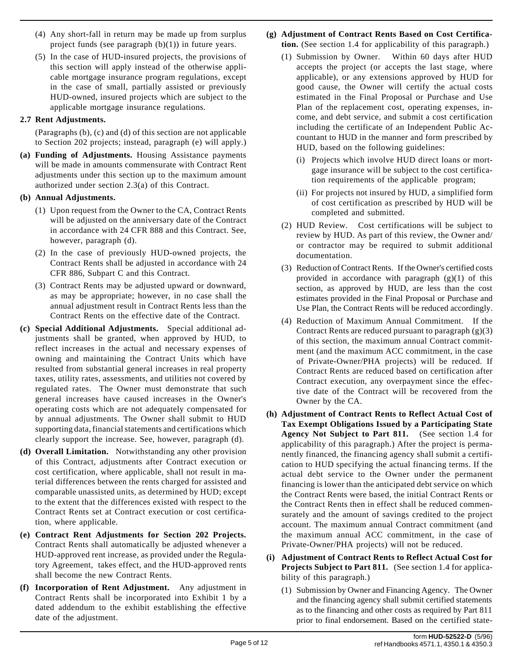- (4) Any short-fall in return may be made up from surplus project funds (see paragraph  $(b)(1)$ ) in future years.
- (5) In the case of HUD-insured projects, the provisions of this section will apply instead of the otherwise applicable mortgage insurance program regulations, except in the case of small, partially assisted or previously HUD-owned, insured projects which are subject to the applicable mortgage insurance regulations.

# **2.7 Rent Adjustments.**

(Paragraphs (b), (c) and (d) of this section are not applicable to Section 202 projects; instead, paragraph (e) will apply.)

**(a) Funding of Adjustments.** Housing Assistance payments will be made in amounts commensurate with Contract Rent adjustments under this section up to the maximum amount authorized under section 2.3(a) of this Contract.

### **(b) Annual Adjustments.**

- (1) Upon request from the Owner to the CA, Contract Rents will be adjusted on the anniversary date of the Contract in accordance with 24 CFR 888 and this Contract. See, however, paragraph (d).
- (2) In the case of previously HUD-owned projects, the Contract Rents shall be adjusted in accordance with 24 CFR 886, Subpart C and this Contract.
- (3) Contract Rents may be adjusted upward or downward, as may be appropriate; however, in no case shall the annual adjustment result in Contract Rents less than the Contract Rents on the effective date of the Contract.
- **(c) Special Additional Adjustments.** Special additional adjustments shall be granted, when approved by HUD, to reflect increases in the actual and necessary expenses of owning and maintaining the Contract Units which have resulted from substantial general increases in real property taxes, utility rates, assessments, and utilities not covered by regulated rates. The Owner must demonstrate that such general increases have caused increases in the Owner's operating costs which are not adequately compensated for by annual adjustments. The Owner shall submit to HUD supporting data, financial statements and certifications which clearly support the increase. See, however, paragraph (d).
- **(d) Overall Limitation.** Notwithstanding any other provision of this Contract, adjustments after Contract execution or cost certification, where applicable, shall not result in material differences between the rents charged for assisted and comparable unassisted units, as determined by HUD; except to the extent that the differences existed with respect to the Contract Rents set at Contract execution or cost certification, where applicable.
- **(e) Contract Rent Adjustments for Section 202 Projects.** Contract Rents shall automatically be adjusted whenever a HUD-approved rent increase, as provided under the Regulatory Agreement, takes effect, and the HUD-approved rents shall become the new Contract Rents.
- **(f) Incorporation of Rent Adjustment.** Any adjustment in Contract Rents shall be incorporated into Exhibit 1 by a dated addendum to the exhibit establishing the effective date of the adjustment.

## **(g) Adjustment of Contract Rents Based on Cost Certification.** (See section 1.4 for applicability of this paragraph.)

- (1) Submission by Owner. Within 60 days after HUD accepts the project (or accepts the last stage, where applicable), or any extensions approved by HUD for good cause, the Owner will certify the actual costs estimated in the Final Proposal or Purchase and Use Plan of the replacement cost, operating expenses, income, and debt service, and submit a cost certification including the certificate of an Independent Public Accountant to HUD in the manner and form prescribed by HUD, based on the following guidelines:
	- (i) Projects which involve HUD direct loans or mortgage insurance will be subject to the cost certification requirements of the applicable program;
	- (ii) For projects not insured by HUD, a simplified form of cost certification as prescribed by HUD will be completed and submitted.
- (2) HUD Review. Cost certifications will be subject to review by HUD. As part of this review, the Owner and/ or contractor may be required to submit additional documentation.
- (3) Reduction of Contract Rents. If the Owner's certified costs provided in accordance with paragraph  $(g)(1)$  of this section, as approved by HUD, are less than the cost estimates provided in the Final Proposal or Purchase and Use Plan, the Contract Rents will be reduced accordingly.
- (4) Reduction of Maximum Annual Commitment. If the Contract Rents are reduced pursuant to paragraph (g)(3) of this section, the maximum annual Contract commitment (and the maximum ACC commitment, in the case of Private-Owner/PHA projects) will be reduced. If Contract Rents are reduced based on certification after Contract execution, any overpayment since the effective date of the Contract will be recovered from the Owner by the CA.
- **(h) Adjustment of Contract Rents to Reflect Actual Cost of Tax Exempt Obligations Issued by a Participating State Agency Not Subject to Part 811.** (See section 1.4 for applicability of this paragraph.) After the project is permanently financed, the financing agency shall submit a certification to HUD specifying the actual financing terms. If the actual debt service to the Owner under the permanent financing is lower than the anticipated debt service on which the Contract Rents were based, the initial Contract Rents or the Contract Rents then in effect shall be reduced commensurately and the amount of savings credited to the project account. The maximum annual Contract commitment (and the maximum annual ACC commitment, in the case of Private-Owner/PHA projects) will not be reduced.
- **(i) Adjustment of Contract Rents to Reflect Actual Cost for Projects Subject to Part 811.** (See section 1.4 for applicability of this paragraph.)
	- (1) Submission by Owner and Financing Agency. The Owner and the financing agency shall submit certified statements as to the financing and other costs as required by Part 811 prior to final endorsement. Based on the certified state-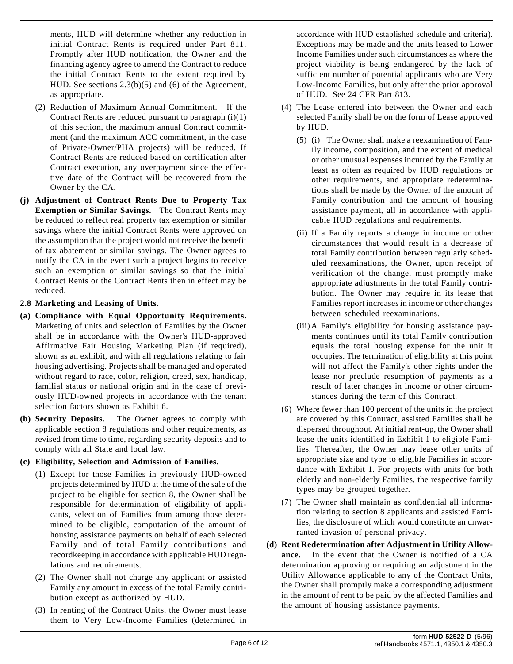ments, HUD will determine whether any reduction in initial Contract Rents is required under Part 811. Promptly after HUD notification, the Owner and the financing agency agree to amend the Contract to reduce the initial Contract Rents to the extent required by HUD. See sections 2.3(b)(5) and (6) of the Agreement, as appropriate.

- (2) Reduction of Maximum Annual Commitment. If the Contract Rents are reduced pursuant to paragraph (i)(1) of this section, the maximum annual Contract commitment (and the maximum ACC commitment, in the case of Private-Owner/PHA projects) will be reduced. If Contract Rents are reduced based on certification after Contract execution, any overpayment since the effective date of the Contract will be recovered from the Owner by the CA.
- **(j) Adjustment of Contract Rents Due to Property Tax Exemption or Similar Savings.** The Contract Rents may be reduced to reflect real property tax exemption or similar savings where the initial Contract Rents were approved on the assumption that the project would not receive the benefit of tax abatement or similar savings. The Owner agrees to notify the CA in the event such a project begins to receive such an exemption or similar savings so that the initial Contract Rents or the Contract Rents then in effect may be reduced.
- **2.8 Marketing and Leasing of Units.**
- **(a) Compliance with Equal Opportunity Requirements.** Marketing of units and selection of Families by the Owner shall be in accordance with the Owner's HUD-approved Affirmative Fair Housing Marketing Plan (if required), shown as an exhibit, and with all regulations relating to fair housing advertising. Projects shall be managed and operated without regard to race, color, religion, creed, sex, handicap, familial status or national origin and in the case of previously HUD-owned projects in accordance with the tenant selection factors shown as Exhibit 6.
- **(b) Security Deposits.** The Owner agrees to comply with applicable section 8 regulations and other requirements, as revised from time to time, regarding security deposits and to comply with all State and local law.
- **(c) Eligibility, Selection and Admission of Families.**
	- (1) Except for those Families in previously HUD-owned projects determined by HUD at the time of the sale of the project to be eligible for section 8, the Owner shall be responsible for determination of eligibility of applicants, selection of Families from among those determined to be eligible, computation of the amount of housing assistance payments on behalf of each selected Family and of total Family contributions and recordkeeping in accordance with applicable HUD regulations and requirements.
	- (2) The Owner shall not charge any applicant or assisted Family any amount in excess of the total Family contribution except as authorized by HUD.
	- (3) In renting of the Contract Units, the Owner must lease them to Very Low-Income Families (determined in

accordance with HUD established schedule and criteria). Exceptions may be made and the units leased to Lower Income Families under such circumstances as where the project viability is being endangered by the lack of sufficient number of potential applicants who are Very Low-Income Families, but only after the prior approval of HUD. See 24 CFR Part 813.

- (4) The Lease entered into between the Owner and each selected Family shall be on the form of Lease approved by HUD.
	- (5) (i) The Owner shall make a reexamination of Family income, composition, and the extent of medical or other unusual expenses incurred by the Family at least as often as required by HUD regulations or other requirements, and appropriate redeterminations shall be made by the Owner of the amount of Family contribution and the amount of housing assistance payment, all in accordance with applicable HUD regulations and requirements.
	- (ii) If a Family reports a change in income or other circumstances that would result in a decrease of total Family contribution between regularly scheduled reexaminations, the Owner, upon receipt of verification of the change, must promptly make appropriate adjustments in the total Family contribution. The Owner may require in its lease that Families report increases in income or other changes between scheduled reexaminations.
	- (iii) A Family's eligibility for housing assistance payments continues until its total Family contribution equals the total housing expense for the unit it occupies. The termination of eligibility at this point will not affect the Family's other rights under the lease nor preclude resumption of payments as a result of later changes in income or other circumstances during the term of this Contract.
- (6) Where fewer than 100 percent of the units in the project are covered by this Contract, assisted Families shall be dispersed throughout. At initial rent-up, the Owner shall lease the units identified in Exhibit 1 to eligible Families. Thereafter, the Owner may lease other units of appropriate size and type to eligible Families in accordance with Exhibit 1. For projects with units for both elderly and non-elderly Families, the respective family types may be grouped together.
- (7) The Owner shall maintain as confidential all information relating to section 8 applicants and assisted Families, the disclosure of which would constitute an unwarranted invasion of personal privacy.
- **(d) Rent Redetermination after Adjustment in Utility Allowance.** In the event that the Owner is notified of a CA determination approving or requiring an adjustment in the Utility Allowance applicable to any of the Contract Units, the Owner shall promptly make a corresponding adjustment in the amount of rent to be paid by the affected Families and the amount of housing assistance payments.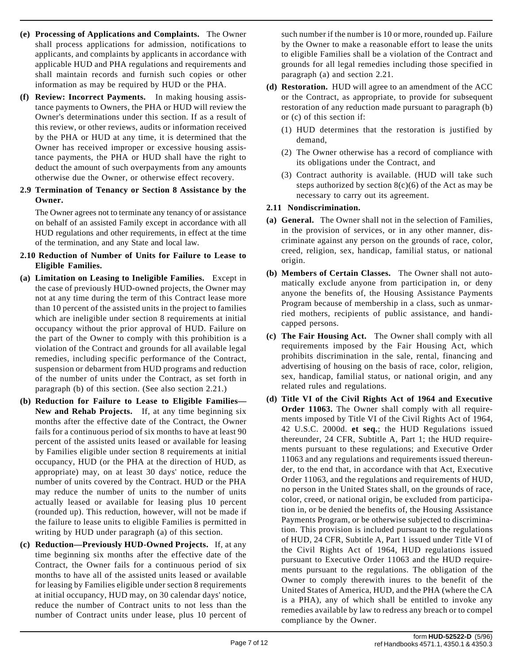- **(e) Processing of Applications and Complaints.** The Owner shall process applications for admission, notifications to applicants, and complaints by applicants in accordance with applicable HUD and PHA regulations and requirements and shall maintain records and furnish such copies or other information as may be required by HUD or the PHA.
- **(f) Review: Incorrect Payments.** In making housing assistance payments to Owners, the PHA or HUD will review the Owner's determinations under this section. If as a result of this review, or other reviews, audits or information received by the PHA or HUD at any time, it is determined that the Owner has received improper or excessive housing assistance payments, the PHA or HUD shall have the right to deduct the amount of such overpayments from any amounts otherwise due the Owner, or otherwise effect recovery.

#### **2.9 Termination of Tenancy or Section 8 Assistance by the Owner.**

The Owner agrees not to terminate any tenancy of or assistance on behalf of an assisted Family except in accordance with all HUD regulations and other requirements, in effect at the time of the termination, and any State and local law.

### **2.10 Reduction of Number of Units for Failure to Lease to Eligible Families.**

- **(a) Limitation on Leasing to Ineligible Families.** Except in the case of previously HUD-owned projects, the Owner may not at any time during the term of this Contract lease more than 10 percent of the assisted units in the project to families which are ineligible under section 8 requirements at initial occupancy without the prior approval of HUD. Failure on the part of the Owner to comply with this prohibition is a violation of the Contract and grounds for all available legal remedies, including specific performance of the Contract, suspension or debarment from HUD programs and reduction of the number of units under the Contract, as set forth in paragraph (b) of this section. (See also section 2.21.)
- **(b) Reduction for Failure to Lease to Eligible Families— New and Rehab Projects.** If, at any time beginning six months after the effective date of the Contract, the Owner fails for a continuous period of six months to have at least 90 percent of the assisted units leased or available for leasing by Families eligible under section 8 requirements at initial occupancy, HUD (or the PHA at the direction of HUD, as appropriate) may, on at least 30 days' notice, reduce the number of units covered by the Contract. HUD or the PHA may reduce the number of units to the number of units actually leased or available for leasing plus 10 percent (rounded up). This reduction, however, will not be made if the failure to lease units to eligible Families is permitted in writing by HUD under paragraph (a) of this section.
- **(c) Reduction—Previously HUD-Owned Projects.** If, at any time beginning six months after the effective date of the Contract, the Owner fails for a continuous period of six months to have all of the assisted units leased or available for leasing by Families eligible under section 8 requirements at initial occupancy, HUD may, on 30 calendar days' notice, reduce the number of Contract units to not less than the number of Contract units under lease, plus 10 percent of

such number if the number is 10 or more, rounded up. Failure by the Owner to make a reasonable effort to lease the units to eligible Families shall be a violation of the Contract and grounds for all legal remedies including those specified in paragraph (a) and section 2.21.

- **(d) Restoration.** HUD will agree to an amendment of the ACC or the Contract, as appropriate, to provide for subsequent restoration of any reduction made pursuant to paragraph (b) or (c) of this section if:
	- (1) HUD determines that the restoration is justified by demand,
	- (2) The Owner otherwise has a record of compliance with its obligations under the Contract, and
	- (3) Contract authority is available. (HUD will take such steps authorized by section  $8(c)(6)$  of the Act as may be necessary to carry out its agreement.

## **2.11 Nondiscrimination.**

- **(a) General.** The Owner shall not in the selection of Families, in the provision of services, or in any other manner, discriminate against any person on the grounds of race, color, creed, religion, sex, handicap, familial status, or national origin.
- **(b) Members of Certain Classes.** The Owner shall not automatically exclude anyone from participation in, or deny anyone the benefits of, the Housing Assistance Payments Program because of membership in a class, such as unmarried mothers, recipients of public assistance, and handicapped persons.
- **(c) The Fair Housing Act.** The Owner shall comply with all requirements imposed by the Fair Housing Act, which prohibits discrimination in the sale, rental, financing and advertising of housing on the basis of race, color, religion, sex, handicap, familial status, or national origin, and any related rules and regulations.
- **(d) Title VI of the Civil Rights Act of 1964 and Executive Order 11063.** The Owner shall comply with all requirements imposed by Title VI of the Civil Rights Act of 1964, 42 U.S.C. 2000d. **et seq.**; the HUD Regulations issued thereunder, 24 CFR, Subtitle A, Part 1; the HUD requirements pursuant to these regulations; and Executive Order 11063 and any regulations and requirements issued thereunder, to the end that, in accordance with that Act, Executive Order 11063, and the regulations and requirements of HUD, no person in the United States shall, on the grounds of race, color, creed, or national origin, be excluded from participation in, or be denied the benefits of, the Housing Assistance Payments Program, or be otherwise subjected to discrimination. This provision is included pursuant to the regulations of HUD, 24 CFR, Subtitle A, Part 1 issued under Title VI of the Civil Rights Act of 1964, HUD regulations issued pursuant to Executive Order 11063 and the HUD requirements pursuant to the regulations. The obligation of the Owner to comply therewith inures to the benefit of the United States of America, HUD, and the PHA (where the CA is a PHA), any of which shall be entitled to invoke any remedies available by law to redress any breach or to compel compliance by the Owner.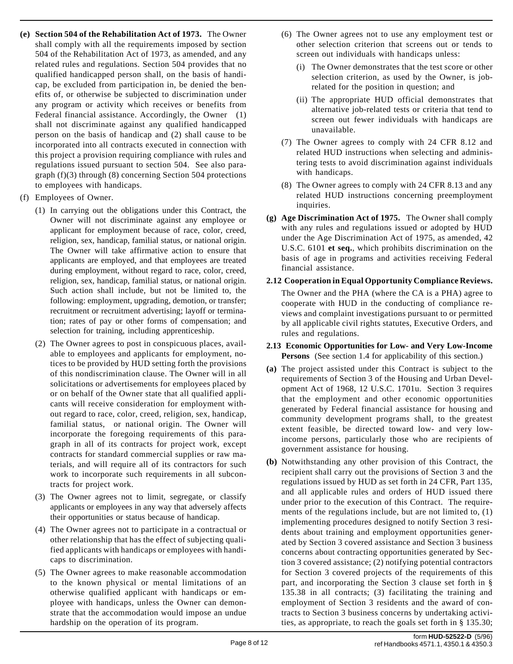- **(e) Section 504 of the Rehabilitation Act of 1973.** The Owner shall comply with all the requirements imposed by section 504 of the Rehabilitation Act of 1973, as amended, and any related rules and regulations. Section 504 provides that no qualified handicapped person shall, on the basis of handicap, be excluded from participation in, be denied the benefits of, or otherwise be subjected to discrimination under any program or activity which receives or benefits from Federal financial assistance. Accordingly, the Owner (1) shall not discriminate against any qualified handicapped person on the basis of handicap and (2) shall cause to be incorporated into all contracts executed in connection with this project a provision requiring compliance with rules and regulations issued pursuant to section 504. See also paragraph (f)(3) through (8) concerning Section 504 protections to employees with handicaps.
- (f) Employees of Owner.
	- (1) In carrying out the obligations under this Contract, the Owner will not discriminate against any employee or applicant for employment because of race, color, creed, religion, sex, handicap, familial status, or national origin. The Owner will take affirmative action to ensure that applicants are employed, and that employees are treated during employment, without regard to race, color, creed, religion, sex, handicap, familial status, or national origin. Such action shall include, but not be limited to, the following: employment, upgrading, demotion, or transfer; recruitment or recruitment advertising; layoff or termination; rates of pay or other forms of compensation; and selection for training, including apprenticeship.
	- (2) The Owner agrees to post in conspicuous places, available to employees and applicants for employment, notices to be provided by HUD setting forth the provisions of this nondiscrimination clause. The Owner will in all solicitations or advertisements for employees placed by or on behalf of the Owner state that all qualified applicants will receive consideration for employment without regard to race, color, creed, religion, sex, handicap, familial status, or national origin. The Owner will incorporate the foregoing requirements of this paragraph in all of its contracts for project work, except contracts for standard commercial supplies or raw materials, and will require all of its contractors for such work to incorporate such requirements in all subcontracts for project work.
	- (3) The Owner agrees not to limit, segregate, or classify applicants or employees in any way that adversely affects their opportunities or status because of handicap.
	- (4) The Owner agrees not to participate in a contractual or other relationship that has the effect of subjecting qualified applicants with handicaps or employees with handicaps to discrimination.
	- (5) The Owner agrees to make reasonable accommodation to the known physical or mental limitations of an otherwise qualified applicant with handicaps or employee with handicaps, unless the Owner can demonstrate that the accommodation would impose an undue hardship on the operation of its program.
- (6) The Owner agrees not to use any employment test or other selection criterion that screens out or tends to screen out individuals with handicaps unless:
	- (i) The Owner demonstrates that the test score or other selection criterion, as used by the Owner, is jobrelated for the position in question; and
	- (ii) The appropriate HUD official demonstrates that alternative job-related tests or criteria that tend to screen out fewer individuals with handicaps are unavailable.
- (7) The Owner agrees to comply with 24 CFR 8.12 and related HUD instructions when selecting and administering tests to avoid discrimination against individuals with handicaps.
- (8) The Owner agrees to comply with 24 CFR 8.13 and any related HUD instructions concerning preemployment inquiries.
- **(g) Age Discrimination Act of 1975.** The Owner shall comply with any rules and regulations issued or adopted by HUD under the Age Discrimination Act of 1975, as amended, 42 U.S.C. 6101 **et seq.**, which prohibits discrimination on the basis of age in programs and activities receiving Federal financial assistance.
- **2.12 Cooperation in Equal Opportunity Compliance Reviews.** The Owner and the PHA (where the CA is a PHA) agree to cooperate with HUD in the conducting of compliance reviews and complaint investigations pursuant to or permitted by all applicable civil rights statutes, Executive Orders, and rules and regulations.
- **2.13 Economic Opportunities for Low- and Very Low-Income Persons** (See section 1.4 for applicability of this section.)
- **(a)** The project assisted under this Contract is subject to the requirements of Section 3 of the Housing and Urban Development Act of 1968, 12 U.S.C. 1701u. Section 3 requires that the employment and other economic opportunities generated by Federal financial assistance for housing and community development programs shall, to the greatest extent feasible, be directed toward low- and very lowincome persons, particularly those who are recipients of government assistance for housing.
- **(b)** Notwithstanding any other provision of this Contract, the recipient shall carry out the provisions of Section 3 and the regulations issued by HUD as set forth in 24 CFR, Part 135, and all applicable rules and orders of HUD issued there under prior to the execution of this Contract. The requirements of the regulations include, but are not limited to, (1) implementing procedures designed to notify Section 3 residents about training and employment opportunities generated by Section 3 covered assistance and Section 3 business concerns about contracting opportunities generated by Section 3 covered assistance; (2) notifying potential contractors for Section 3 covered projects of the requirements of this part, and incorporating the Section 3 clause set forth in § 135.38 in all contracts; (3) facilitating the training and employment of Section 3 residents and the award of contracts to Section 3 business concerns by undertaking activities, as appropriate, to reach the goals set forth in § 135.30;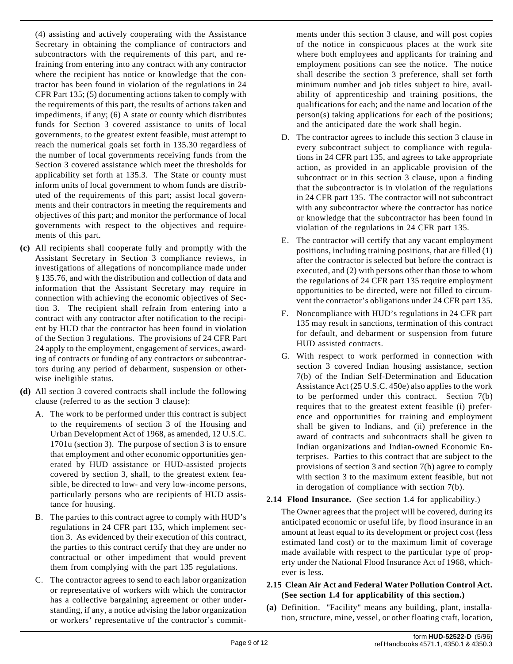(4) assisting and actively cooperating with the Assistance Secretary in obtaining the compliance of contractors and subcontractors with the requirements of this part, and refraining from entering into any contract with any contractor where the recipient has notice or knowledge that the contractor has been found in violation of the regulations in 24 CFR Part 135; (5) documenting actions taken to comply with the requirements of this part, the results of actions taken and impediments, if any; (6) A state or county which distributes funds for Section 3 covered assistance to units of local governments, to the greatest extent feasible, must attempt to reach the numerical goals set forth in 135.30 regardless of the number of local governments receiving funds from the Section 3 covered assistance which meet the thresholds for applicability set forth at 135.3. The State or county must inform units of local government to whom funds are distributed of the requirements of this part; assist local governments and their contractors in meeting the requirements and objectives of this part; and monitor the performance of local governments with respect to the objectives and requirements of this part.

- **(c)** All recipients shall cooperate fully and promptly with the Assistant Secretary in Section 3 compliance reviews, in investigations of allegations of noncompliance made under § 135.76, and with the distribution and collection of data and information that the Assistant Secretary may require in connection with achieving the economic objectives of Section 3. The recipient shall refrain from entering into a contract with any contractor after notification to the recipient by HUD that the contractor has been found in violation of the Section 3 regulations. The provisions of 24 CFR Part 24 apply to the employment, engagement of services, awarding of contracts or funding of any contractors or subcontractors during any period of debarment, suspension or otherwise ineligible status.
- **(d)** All section 3 covered contracts shall include the following clause (referred to as the section 3 clause):
	- A. The work to be performed under this contract is subject to the requirements of section 3 of the Housing and Urban Development Act of 1968, as amended, 12 U.S.C. 1701u (section 3). The purpose of section 3 is to ensure that employment and other economic opportunities generated by HUD assistance or HUD-assisted projects covered by section 3, shall, to the greatest extent feasible, be directed to low- and very low-income persons, particularly persons who are recipients of HUD assistance for housing.
	- B. The parties to this contract agree to comply with HUD's regulations in 24 CFR part 135, which implement section 3. As evidenced by their execution of this contract, the parties to this contract certify that they are under no contractual or other impediment that would prevent them from complying with the part 135 regulations.
	- C. The contractor agrees to send to each labor organization or representative of workers with which the contractor has a collective bargaining agreement or other understanding, if any, a notice advising the labor organization or workers' representative of the contractor's commit-

ments under this section 3 clause, and will post copies of the notice in conspicuous places at the work site where both employees and applicants for training and employment positions can see the notice. The notice shall describe the section 3 preference, shall set forth minimum number and job titles subject to hire, availability of apprenticeship and training positions, the qualifications for each; and the name and location of the person(s) taking applications for each of the positions; and the anticipated date the work shall begin.

- D. The contractor agrees to include this section 3 clause in every subcontract subject to compliance with regulations in 24 CFR part 135, and agrees to take appropriate action, as provided in an applicable provision of the subcontract or in this section 3 clause, upon a finding that the subcontractor is in violation of the regulations in 24 CFR part 135. The contractor will not subcontract with any subcontractor where the contractor has notice or knowledge that the subcontractor has been found in violation of the regulations in 24 CFR part 135.
- E. The contractor will certify that any vacant employment positions, including training positions, that are filled (1) after the contractor is selected but before the contract is executed, and (2) with persons other than those to whom the regulations of 24 CFR part 135 require employment opportunities to be directed, were not filled to circumvent the contractor's obligations under 24 CFR part 135.
- F. Noncompliance with HUD's regulations in 24 CFR part 135 may result in sanctions, termination of this contract for default, and debarment or suspension from future HUD assisted contracts.
- G. With respect to work performed in connection with section 3 covered Indian housing assistance, section 7(b) of the Indian Self-Determination and Education Assistance Act (25 U.S.C. 450e) also applies to the work to be performed under this contract. Section 7(b) requires that to the greatest extent feasible (i) preference and opportunities for training and employment shall be given to Indians, and (ii) preference in the award of contracts and subcontracts shall be given to Indian organizations and Indian-owned Economic Enterprises. Parties to this contract that are subject to the provisions of section 3 and section 7(b) agree to comply with section 3 to the maximum extent feasible, but not in derogation of compliance with section 7(b).
- **2.14 Flood Insurance.** (See section 1.4 for applicability.)

The Owner agrees that the project will be covered, during its anticipated economic or useful life, by flood insurance in an amount at least equal to its development or project cost (less estimated land cost) or to the maximum limit of coverage made available with respect to the particular type of property under the National Flood Insurance Act of 1968, whichever is less.

### **2.15 Clean Air Act and Federal Water Pollution Control Act. (See section 1.4 for applicability of this section.)**

**(a)** Definition. "Facility" means any building, plant, installation, structure, mine, vessel, or other floating craft, location,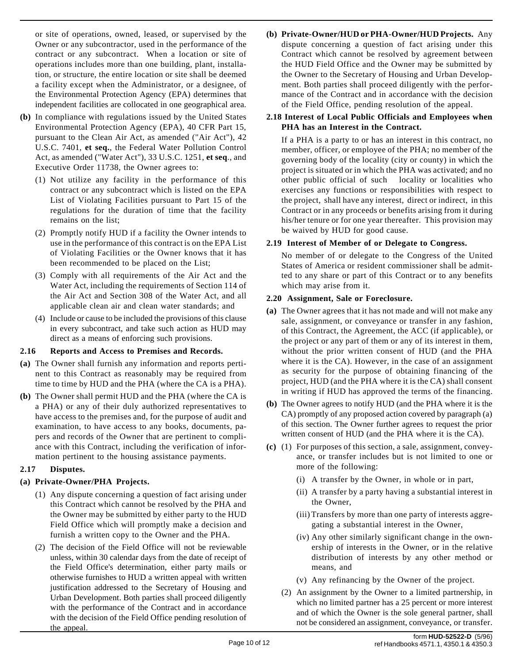or site of operations, owned, leased, or supervised by the Owner or any subcontractor, used in the performance of the contract or any subcontract. When a location or site of operations includes more than one building, plant, installation, or structure, the entire location or site shall be deemed a facility except when the Administrator, or a designee, of the Environmental Protection Agency (EPA) determines that independent facilities are collocated in one geographical area.

- **(b)** In compliance with regulations issued by the United States Environmental Protection Agency (EPA), 40 CFR Part 15, pursuant to the Clean Air Act, as amended ("Air Act"), 42 U.S.C. 7401, **et seq.**, the Federal Water Pollution Control Act, as amended ("Water Act"), 33 U.S.C. 1251, **et seq**., and Executive Order 11738, the Owner agrees to:
	- (1) Not utilize any facility in the performance of this contract or any subcontract which is listed on the EPA List of Violating Facilities pursuant to Part 15 of the regulations for the duration of time that the facility remains on the list;
	- (2) Promptly notify HUD if a facility the Owner intends to use in the performance of this contract is on the EPA List of Violating Facilities or the Owner knows that it has been recommended to be placed on the List;
	- (3) Comply with all requirements of the Air Act and the Water Act, including the requirements of Section 114 of the Air Act and Section 308 of the Water Act, and all applicable clean air and clean water standards; and
	- (4) Include or cause to be included the provisions of this clause in every subcontract, and take such action as HUD may direct as a means of enforcing such provisions.

### **2.16 Reports and Access to Premises and Records.**

- **(a)** The Owner shall furnish any information and reports pertinent to this Contract as reasonably may be required from time to time by HUD and the PHA (where the CA is a PHA).
- **(b)** The Owner shall permit HUD and the PHA (where the CA is a PHA) or any of their duly authorized representatives to have access to the premises and, for the purpose of audit and examination, to have access to any books, documents, papers and records of the Owner that are pertinent to compliance with this Contract, including the verification of information pertinent to the housing assistance payments.

# **2.17 Disputes.**

# **(a) Private-Owner/PHA Projects.**

- (1) Any dispute concerning a question of fact arising under this Contract which cannot be resolved by the PHA and the Owner may be submitted by either party to the HUD Field Office which will promptly make a decision and furnish a written copy to the Owner and the PHA.
- (2) The decision of the Field Office will not be reviewable unless, within 30 calendar days from the date of receipt of the Field Office's determination, either party mails or otherwise furnishes to HUD a written appeal with written justification addressed to the Secretary of Housing and Urban Development. Both parties shall proceed diligently with the performance of the Contract and in accordance with the decision of the Field Office pending resolution of the appeal.

**(b) Private-Owner/HUD or PHA-Owner/HUD Projects.** Any dispute concerning a question of fact arising under this Contract which cannot be resolved by agreement between the HUD Field Office and the Owner may be submitted by the Owner to the Secretary of Housing and Urban Development. Both parties shall proceed diligently with the performance of the Contract and in accordance with the decision of the Field Office, pending resolution of the appeal.

# **2.18 Interest of Local Public Officials and Employees when PHA has an Interest in the Contract.**

If a PHA is a party to or has an interest in this contract, no member, officer, or employee of the PHA; no member of the governing body of the locality (city or county) in which the project is situated or in which the PHA was activated; and no other public official of such locality or localities who exercises any functions or responsibilities with respect to the project, shall have any interest, direct or indirect, in this Contract or in any proceeds or benefits arising from it during his/her tenure or for one year thereafter. This provision may be waived by HUD for good cause.

# **2.19 Interest of Member of or Delegate to Congress.**

No member of or delegate to the Congress of the United States of America or resident commissioner shall be admitted to any share or part of this Contract or to any benefits which may arise from it.

# **2.20 Assignment, Sale or Foreclosure.**

- **(a)** The Owner agrees that it has not made and will not make any sale, assignment, or conveyance or transfer in any fashion, of this Contract, the Agreement, the ACC (if applicable), or the project or any part of them or any of its interest in them, without the prior written consent of HUD (and the PHA where it is the CA). However, in the case of an assignment as security for the purpose of obtaining financing of the project, HUD (and the PHA where it is the CA) shall consent in writing if HUD has approved the terms of the financing.
- **(b)** The Owner agrees to notify HUD (and the PHA where it is the CA) promptly of any proposed action covered by paragraph (a) of this section. The Owner further agrees to request the prior written consent of HUD (and the PHA where it is the CA).
- **(c)** (1) For purposes of this section, a sale, assignment, conveyance, or transfer includes but is not limited to one or more of the following:
	- (i) A transfer by the Owner, in whole or in part,
	- (ii) A transfer by a party having a substantial interest in the Owner,
	- (iii) Transfers by more than one party of interests aggregating a substantial interest in the Owner,
	- (iv) Any other similarly significant change in the ownership of interests in the Owner, or in the relative distribution of interests by any other method or means, and
	- (v) Any refinancing by the Owner of the project.
	- (2) An assignment by the Owner to a limited partnership, in which no limited partner has a 25 percent or more interest and of which the Owner is the sole general partner, shall not be considered an assignment, conveyance, or transfer.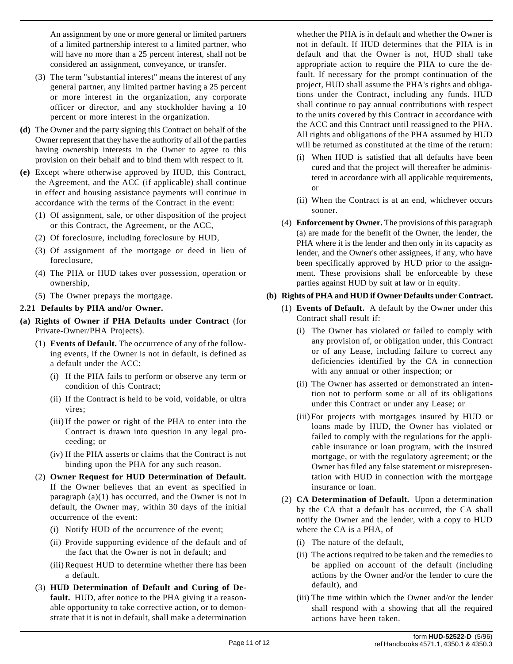An assignment by one or more general or limited partners of a limited partnership interest to a limited partner, who will have no more than a 25 percent interest, shall not be considered an assignment, conveyance, or transfer.

- (3) The term "substantial interest" means the interest of any general partner, any limited partner having a 25 percent or more interest in the organization, any corporate officer or director, and any stockholder having a 10 percent or more interest in the organization.
- **(d)** The Owner and the party signing this Contract on behalf of the Owner represent that they have the authority of all of the parties having ownership interests in the Owner to agree to this provision on their behalf and to bind them with respect to it.
- **(e)** Except where otherwise approved by HUD, this Contract, the Agreement, and the ACC (if applicable) shall continue in effect and housing assistance payments will continue in accordance with the terms of the Contract in the event:
	- (1) Of assignment, sale, or other disposition of the project or this Contract, the Agreement, or the ACC,
	- (2) Of foreclosure, including foreclosure by HUD,
	- (3) Of assignment of the mortgage or deed in lieu of foreclosure,
	- (4) The PHA or HUD takes over possession, operation or ownership,
	- (5) The Owner prepays the mortgage.

### **2.21 Defaults by PHA and/or Owner.**

- **(a) Rights of Owner if PHA Defaults under Contract** (for Private-Owner/PHA Projects).
	- (1) **Events of Default.** The occurrence of any of the following events, if the Owner is not in default, is defined as a default under the ACC:
		- (i) If the PHA fails to perform or observe any term or condition of this Contract;
		- (ii) If the Contract is held to be void, voidable, or ultra vires;
		- (iii) If the power or right of the PHA to enter into the Contract is drawn into question in any legal proceeding; or
		- (iv) If the PHA asserts or claims that the Contract is not binding upon the PHA for any such reason.
	- (2) **Owner Request for HUD Determination of Default.** If the Owner believes that an event as specified in paragraph  $(a)(1)$  has occurred, and the Owner is not in default, the Owner may, within 30 days of the initial occurrence of the event:
		- (i) Notify HUD of the occurrence of the event;
		- (ii) Provide supporting evidence of the default and of the fact that the Owner is not in default; and
		- (iii) Request HUD to determine whether there has been a default.
	- (3) **HUD Determination of Default and Curing of Default.** HUD, after notice to the PHA giving it a reasonable opportunity to take corrective action, or to demonstrate that it is not in default, shall make a determination

whether the PHA is in default and whether the Owner is not in default. If HUD determines that the PHA is in default and that the Owner is not, HUD shall take appropriate action to require the PHA to cure the default. If necessary for the prompt continuation of the project, HUD shall assume the PHA's rights and obligations under the Contract, including any funds. HUD shall continue to pay annual contributions with respect to the units covered by this Contract in accordance with the ACC and this Contract until reassigned to the PHA. All rights and obligations of the PHA assumed by HUD will be returned as constituted at the time of the return:

- (i) When HUD is satisfied that all defaults have been cured and that the project will thereafter be administered in accordance with all applicable requirements, or
- (ii) When the Contract is at an end, whichever occurs sooner.
- (4) **Enforcement by Owner.** The provisions of this paragraph (a) are made for the benefit of the Owner, the lender, the PHA where it is the lender and then only in its capacity as lender, and the Owner's other assignees, if any, who have been specifically approved by HUD prior to the assignment. These provisions shall be enforceable by these parties against HUD by suit at law or in equity.

### **(b) Rights of PHA and HUD if Owner Defaults under Contract.**

- (1) **Events of Default.** A default by the Owner under this Contract shall result if:
	- (i) The Owner has violated or failed to comply with any provision of, or obligation under, this Contract or of any Lease, including failure to correct any deficiencies identified by the CA in connection with any annual or other inspection; or
	- (ii) The Owner has asserted or demonstrated an intention not to perform some or all of its obligations under this Contract or under any Lease; or
	- (iii) For projects with mortgages insured by HUD or loans made by HUD, the Owner has violated or failed to comply with the regulations for the applicable insurance or loan program, with the insured mortgage, or with the regulatory agreement; or the Owner has filed any false statement or misrepresentation with HUD in connection with the mortgage insurance or loan.
- (2) **CA Determination of Default.** Upon a determination by the CA that a default has occurred, the CA shall notify the Owner and the lender, with a copy to HUD where the CA is a PHA, of
	- (i) The nature of the default,
	- (ii) The actions required to be taken and the remedies to be applied on account of the default (including actions by the Owner and/or the lender to cure the default), and
	- (iii) The time within which the Owner and/or the lender shall respond with a showing that all the required actions have been taken.